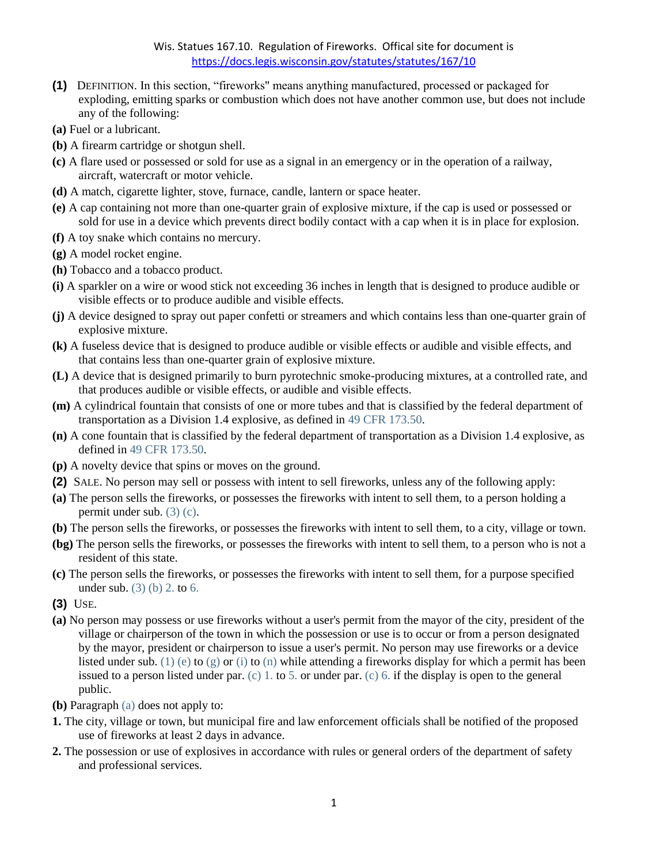## Wis. Statues 167.10. Regulation of Fireworks. Offical site for document is <https://docs.legis.wisconsin.gov/statutes/statutes/167/10>

- **(1)** DEFINITION. In this section, "fireworks" means anything manufactured, processed or packaged for exploding, emitting sparks or combustion which does not have another common use, but does not include any of the following:
- **(a)** Fuel or a lubricant.
- **(b)** A firearm cartridge or shotgun shell.
- **(c)** A flare used or possessed or sold for use as a signal in an emergency or in the operation of a railway, aircraft, watercraft or motor vehicle.
- **(d)** A match, cigarette lighter, stove, furnace, candle, lantern or space heater.
- **(e)** A cap containing not more than one-quarter grain of explosive mixture, if the cap is used or possessed or sold for use in a device which prevents direct bodily contact with a cap when it is in place for explosion.
- **(f)** A toy snake which contains no mercury.
- **(g)** A model rocket engine.
- **(h)** Tobacco and a tobacco product.
- **(i)** A sparkler on a wire or wood stick not exceeding 36 inches in length that is designed to produce audible or visible effects or to produce audible and visible effects.
- **(j)** A device designed to spray out paper confetti or streamers and which contains less than one-quarter grain of explosive mixture.
- **(k)** A fuseless device that is designed to produce audible or visible effects or audible and visible effects, and that contains less than one-quarter grain of explosive mixture.
- **(L)** A device that is designed primarily to burn pyrotechnic smoke-producing mixtures, at a controlled rate, and that produces audible or visible effects, or audible and visible effects.
- **(m)** A cylindrical fountain that consists of one or more tubes and that is classified by the federal department of transportation as a Division 1.4 explosive, as defined in [49 CFR 173.50.](https://docs.legis.wisconsin.gov/document/cfr/49%20CFR%20173.50)
- **(n)** A cone fountain that is classified by the federal department of transportation as a Division 1.4 explosive, as defined in [49 CFR 173.50.](https://docs.legis.wisconsin.gov/document/cfr/49%20CFR%20173.50)
- **(p)** A novelty device that spins or moves on the ground.
- **(2)** SALE. No person may sell or possess with intent to sell fireworks, unless any of the following apply:
- **(a)** The person sells the fireworks, or possesses the fireworks with intent to sell them, to a person holding a permit under sub. [\(3\) \(c\).](https://docs.legis.wisconsin.gov/document/statutes/167.10(3)(c))
- **(b)** The person sells the fireworks, or possesses the fireworks with intent to sell them, to a city, village or town.
- **(bg)** The person sells the fireworks, or possesses the fireworks with intent to sell them, to a person who is not a resident of this state.
- **(c)** The person sells the fireworks, or possesses the fireworks with intent to sell them, for a purpose specified under sub. [\(3\) \(b\) 2.](https://docs.legis.wisconsin.gov/document/statutes/167.10(3)(b)2.) to [6.](https://docs.legis.wisconsin.gov/document/statutes/167.10(3)(b)6.)
- **(3)** USE.
- **(a)** No person may possess or use fireworks without a user's permit from the mayor of the city, president of the village or chairperson of the town in which the possession or use is to occur or from a person designated by the mayor, president or chairperson to issue a user's permit. No person may use fireworks or a device listed under sub. [\(1\) \(e\)](https://docs.legis.wisconsin.gov/document/statutes/167.10(1)(e)) to [\(g\)](https://docs.legis.wisconsin.gov/document/statutes/167.10(1)(g)) or [\(i\)](https://docs.legis.wisconsin.gov/document/statutes/167.10(1)(i)) to [\(n\)](https://docs.legis.wisconsin.gov/document/statutes/167.10(1)(n)) while attending a fireworks display for which a permit has been issued to a person listed under par. [\(c\) 1.](https://docs.legis.wisconsin.gov/document/statutes/167.10(3)(c)1.) to [5.](https://docs.legis.wisconsin.gov/document/statutes/167.10(3)(c)5.) or under par. [\(c\) 6.](https://docs.legis.wisconsin.gov/document/statutes/167.10(3)(c)6.) if the display is open to the general public.
- **(b)** Paragraph [\(a\)](https://docs.legis.wisconsin.gov/document/statutes/167.10(3)(a)) does not apply to:
- **1.** The city, village or town, but municipal fire and law enforcement officials shall be notified of the proposed use of fireworks at least 2 days in advance.
- **2.** The possession or use of explosives in accordance with rules or general orders of the department of safety and professional services.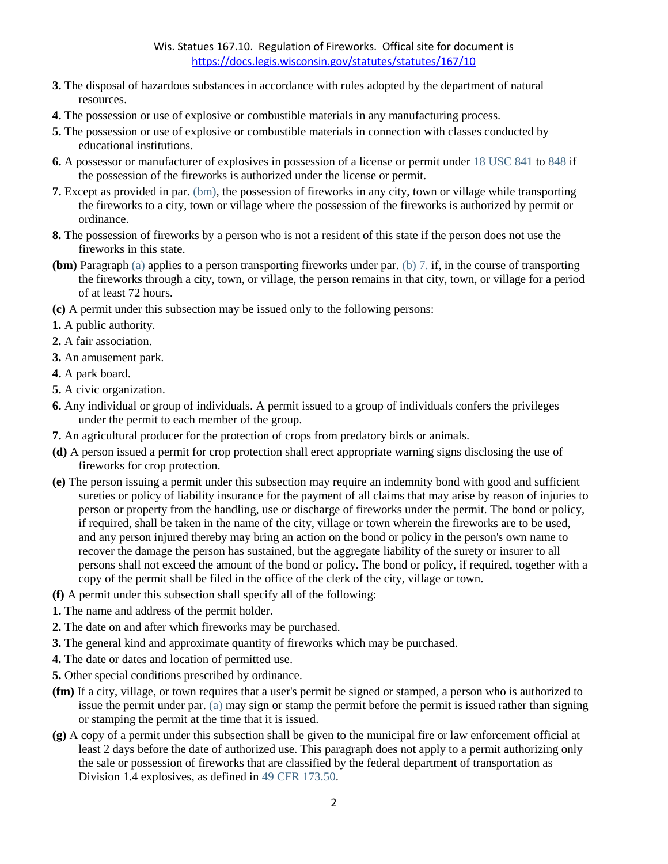- **3.** The disposal of hazardous substances in accordance with rules adopted by the department of natural resources.
- **4.** The possession or use of explosive or combustible materials in any manufacturing process.
- **5.** The possession or use of explosive or combustible materials in connection with classes conducted by educational institutions.
- **6.** A possessor or manufacturer of explosives in possession of a license or permit under [18 USC 841](https://docs.legis.wisconsin.gov/document/usc/18%20USC%20841) to [848](https://docs.legis.wisconsin.gov/document/usc/18%20USC%20848) if the possession of the fireworks is authorized under the license or permit.
- **7.** Except as provided in par. [\(bm\),](https://docs.legis.wisconsin.gov/document/statutes/167.10(3)(bm)) the possession of fireworks in any city, town or village while transporting the fireworks to a city, town or village where the possession of the fireworks is authorized by permit or ordinance.
- **8.** The possession of fireworks by a person who is not a resident of this state if the person does not use the fireworks in this state.
- **(bm)** Paragraph [\(a\)](https://docs.legis.wisconsin.gov/document/statutes/167.10(3)(a)) applies to a person transporting fireworks under par. [\(b\) 7.](https://docs.legis.wisconsin.gov/document/statutes/167.10(3)(b)7.) if, in the course of transporting the fireworks through a city, town, or village, the person remains in that city, town, or village for a period of at least 72 hours.
- **(c)** A permit under this subsection may be issued only to the following persons:
- **1.** A public authority.
- **2.** A fair association.
- **3.** An amusement park.
- **4.** A park board.
- **5.** A civic organization.
- **6.** Any individual or group of individuals. A permit issued to a group of individuals confers the privileges under the permit to each member of the group.
- **7.** An agricultural producer for the protection of crops from predatory birds or animals.
- **(d)** A person issued a permit for crop protection shall erect appropriate warning signs disclosing the use of fireworks for crop protection.
- **(e)** The person issuing a permit under this subsection may require an indemnity bond with good and sufficient sureties or policy of liability insurance for the payment of all claims that may arise by reason of injuries to person or property from the handling, use or discharge of fireworks under the permit. The bond or policy, if required, shall be taken in the name of the city, village or town wherein the fireworks are to be used, and any person injured thereby may bring an action on the bond or policy in the person's own name to recover the damage the person has sustained, but the aggregate liability of the surety or insurer to all persons shall not exceed the amount of the bond or policy. The bond or policy, if required, together with a copy of the permit shall be filed in the office of the clerk of the city, village or town.
- **(f)** A permit under this subsection shall specify all of the following:
- **1.** The name and address of the permit holder.
- **2.** The date on and after which fireworks may be purchased.
- **3.** The general kind and approximate quantity of fireworks which may be purchased.
- **4.** The date or dates and location of permitted use.
- **5.** Other special conditions prescribed by ordinance.
- **(fm)** If a city, village, or town requires that a user's permit be signed or stamped, a person who is authorized to issue the permit under par. [\(a\)](https://docs.legis.wisconsin.gov/document/statutes/167.10(3)(a)) may sign or stamp the permit before the permit is issued rather than signing or stamping the permit at the time that it is issued.
- **(g)** A copy of a permit under this subsection shall be given to the municipal fire or law enforcement official at least 2 days before the date of authorized use. This paragraph does not apply to a permit authorizing only the sale or possession of fireworks that are classified by the federal department of transportation as Division 1.4 explosives, as defined in [49 CFR 173.50.](https://docs.legis.wisconsin.gov/document/cfr/49%20CFR%20173.50)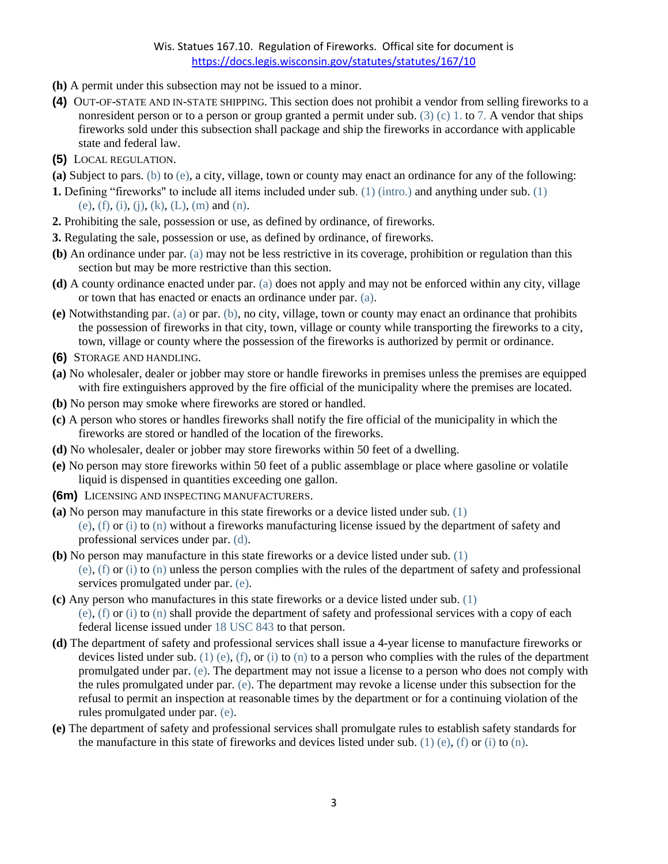## Wis. Statues 167.10. Regulation of Fireworks. Offical site for document is <https://docs.legis.wisconsin.gov/statutes/statutes/167/10>

- **(h)** A permit under this subsection may not be issued to a minor.
- **(4)** OUT-OF-STATE AND IN-STATE SHIPPING. This section does not prohibit a vendor from selling fireworks to a nonresident person or to a person or group granted a permit under sub. [\(3\) \(c\) 1.](https://docs.legis.wisconsin.gov/document/statutes/167.10(3)(c)1.) to [7.](https://docs.legis.wisconsin.gov/document/statutes/167.10(3)(c)7.) A vendor that ships fireworks sold under this subsection shall package and ship the fireworks in accordance with applicable state and federal law.
- **(5)** LOCAL REGULATION.
- **(a)** Subject to pars. [\(b\)](https://docs.legis.wisconsin.gov/document/statutes/167.10(5)(b)) to [\(e\),](https://docs.legis.wisconsin.gov/document/statutes/167.10(5)(e)) a city, village, town or county may enact an ordinance for any of the following:
- **1.** Defining "fireworks" to include all items included under sub. [\(1\) \(intro.\)](https://docs.legis.wisconsin.gov/document/statutes/167.10(1)(intro.)) and anything under sub. [\(1\)](https://docs.legis.wisconsin.gov/document/statutes/167.10(1)(e))  [\(e\),](https://docs.legis.wisconsin.gov/document/statutes/167.10(1)(e)) [\(f\),](https://docs.legis.wisconsin.gov/document/statutes/167.10(1)(f)) [\(i\),](https://docs.legis.wisconsin.gov/document/statutes/167.10(1)(i)) [\(j\),](https://docs.legis.wisconsin.gov/document/statutes/167.10(1)(j)) [\(k\),](https://docs.legis.wisconsin.gov/document/statutes/167.10(1)(k)) [\(L\),](https://docs.legis.wisconsin.gov/document/statutes/167.10(1)(L)) [\(m\)](https://docs.legis.wisconsin.gov/document/statutes/167.10(1)(m)) and [\(n\).](https://docs.legis.wisconsin.gov/document/statutes/167.10(1)(n))
- **2.** Prohibiting the sale, possession or use, as defined by ordinance, of fireworks.
- **3.** Regulating the sale, possession or use, as defined by ordinance, of fireworks.
- **(b)** An ordinance under par. [\(a\)](https://docs.legis.wisconsin.gov/document/statutes/167.10(5)(a)) may not be less restrictive in its coverage, prohibition or regulation than this section but may be more restrictive than this section.
- **(d)** A county ordinance enacted under par. [\(a\)](https://docs.legis.wisconsin.gov/document/statutes/167.10(5)(a)) does not apply and may not be enforced within any city, village or town that has enacted or enacts an ordinance under par. [\(a\).](https://docs.legis.wisconsin.gov/document/statutes/167.10(5)(a))
- **(e)** Notwithstanding par. [\(a\)](https://docs.legis.wisconsin.gov/document/statutes/167.10(5)(a)) or par. [\(b\),](https://docs.legis.wisconsin.gov/document/statutes/167.10(5)(b)) no city, village, town or county may enact an ordinance that prohibits the possession of fireworks in that city, town, village or county while transporting the fireworks to a city, town, village or county where the possession of the fireworks is authorized by permit or ordinance.
- **(6)** STORAGE AND HANDLING.
- **(a)** No wholesaler, dealer or jobber may store or handle fireworks in premises unless the premises are equipped with fire extinguishers approved by the fire official of the municipality where the premises are located.
- **(b)** No person may smoke where fireworks are stored or handled.
- **(c)** A person who stores or handles fireworks shall notify the fire official of the municipality in which the fireworks are stored or handled of the location of the fireworks.
- **(d)** No wholesaler, dealer or jobber may store fireworks within 50 feet of a dwelling.
- **(e)** No person may store fireworks within 50 feet of a public assemblage or place where gasoline or volatile liquid is dispensed in quantities exceeding one gallon.
- **(6m)** LICENSING AND INSPECTING MANUFACTURERS.
- **(a)** No person may manufacture in this state fireworks or a device listed under sub. [\(1\)](https://docs.legis.wisconsin.gov/document/statutes/167.10(1)(e))  [\(e\),](https://docs.legis.wisconsin.gov/document/statutes/167.10(1)(e)) [\(f\)](https://docs.legis.wisconsin.gov/document/statutes/167.10(1)(f)) or [\(i\)](https://docs.legis.wisconsin.gov/document/statutes/167.10(1)(i)) to [\(n\)](https://docs.legis.wisconsin.gov/document/statutes/167.10(1)(n)) without a fireworks manufacturing license issued by the department of safety and professional services under par. [\(d\).](https://docs.legis.wisconsin.gov/document/statutes/167.10(6m)(d))
- **(b)** No person may manufacture in this state fireworks or a device listed under sub. [\(1\)](https://docs.legis.wisconsin.gov/document/statutes/167.10(1)(e))  [\(e\),](https://docs.legis.wisconsin.gov/document/statutes/167.10(1)(e)) [\(f\)](https://docs.legis.wisconsin.gov/document/statutes/167.10(1)(f)) or [\(i\)](https://docs.legis.wisconsin.gov/document/statutes/167.10(1)(i)) to [\(n\)](https://docs.legis.wisconsin.gov/document/statutes/167.10(1)(n)) unless the person complies with the rules of the department of safety and professional services promulgated under par. [\(e\).](https://docs.legis.wisconsin.gov/document/statutes/167.10(6m)(e))
- **(c)** Any person who manufactures in this state fireworks or a device listed under sub. [\(1\)](https://docs.legis.wisconsin.gov/document/statutes/167.10(1)(e))  [\(e\),](https://docs.legis.wisconsin.gov/document/statutes/167.10(1)(e)) [\(f\)](https://docs.legis.wisconsin.gov/document/statutes/167.10(1)(f)) or [\(i\)](https://docs.legis.wisconsin.gov/document/statutes/167.10(1)(i)) to [\(n\)](https://docs.legis.wisconsin.gov/document/statutes/167.10(1)(n)) shall provide the department of safety and professional services with a copy of each federal license issued under [18 USC 843](https://docs.legis.wisconsin.gov/document/usc/18%20USC%20843) to that person.
- **(d)** The department of safety and professional services shall issue a 4-year license to manufacture fireworks or devices listed under sub. [\(1\) \(e\),](https://docs.legis.wisconsin.gov/document/statutes/167.10(1)(e)) [\(f\),](https://docs.legis.wisconsin.gov/document/statutes/167.10(1)(f)) or [\(i\)](https://docs.legis.wisconsin.gov/document/statutes/167.10(1)(i)) to [\(n\)](https://docs.legis.wisconsin.gov/document/statutes/167.10(1)(n)) to a person who complies with the rules of the department promulgated under par. [\(e\).](https://docs.legis.wisconsin.gov/document/statutes/167.10(6m)(e)) The department may not issue a license to a person who does not comply with the rules promulgated under par. [\(e\).](https://docs.legis.wisconsin.gov/document/statutes/167.10(6m)(e)) The department may revoke a license under this subsection for the refusal to permit an inspection at reasonable times by the department or for a continuing violation of the rules promulgated under par. [\(e\).](https://docs.legis.wisconsin.gov/document/statutes/167.10(6m)(e))
- **(e)** The department of safety and professional services shall promulgate rules to establish safety standards for the manufacture in this state of fireworks and devices listed under sub. [\(1\) \(e\),](https://docs.legis.wisconsin.gov/document/statutes/167.10(1)(e)) [\(f\)](https://docs.legis.wisconsin.gov/document/statutes/167.10(1)(f)) or [\(i\)](https://docs.legis.wisconsin.gov/document/statutes/167.10(1)(i)) to [\(n\).](https://docs.legis.wisconsin.gov/document/statutes/167.10(1)(n))